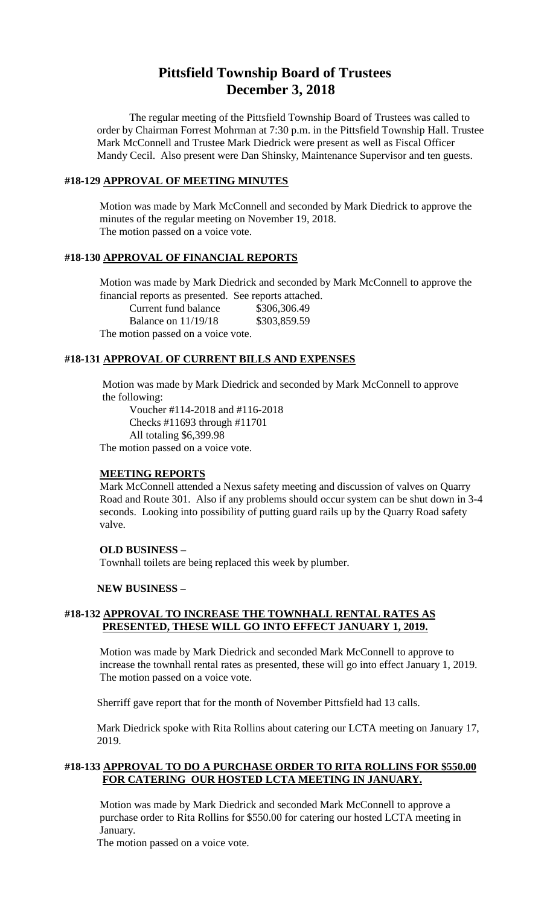# **Pittsfield Township Board of Trustees December 3, 2018**

The regular meeting of the Pittsfield Township Board of Trustees was called to order by Chairman Forrest Mohrman at 7:30 p.m. in the Pittsfield Township Hall. Trustee Mark McConnell and Trustee Mark Diedrick were present as well as Fiscal Officer Mandy Cecil. Also present were Dan Shinsky, Maintenance Supervisor and ten guests.

#### **#18-129 APPROVAL OF MEETING MINUTES**

Motion was made by Mark McConnell and seconded by Mark Diedrick to approve the minutes of the regular meeting on November 19, 2018. The motion passed on a voice vote.

#### **#18-130 APPROVAL OF FINANCIAL REPORTS**

Motion was made by Mark Diedrick and seconded by Mark McConnell to approve the financial reports as presented. See reports attached.

Current fund balance \$306,306.49

Balance on 11/19/18 \$303,859.59

The motion passed on a voice vote.

#### **#18-131 APPROVAL OF CURRENT BILLS AND EXPENSES**

Motion was made by Mark Diedrick and seconded by Mark McConnell to approve the following:

Voucher #114-2018 and #116-2018 Checks #11693 through #11701 All totaling \$6,399.98

The motion passed on a voice vote.

#### **MEETING REPORTS**

Mark McConnell attended a Nexus safety meeting and discussion of valves on Quarry Road and Route 301. Also if any problems should occur system can be shut down in 3-4 seconds. Looking into possibility of putting guard rails up by the Quarry Road safety valve.

#### **OLD BUSINESS** –

Townhall toilets are being replaced this week by plumber.

#### **NEW BUSINESS –**

## **#18-132 APPROVAL TO INCREASE THE TOWNHALL RENTAL RATES AS PRESENTED, THESE WILL GO INTO EFFECT JANUARY 1, 2019.**

Motion was made by Mark Diedrick and seconded Mark McConnell to approve to increase the townhall rental rates as presented, these will go into effect January 1, 2019. The motion passed on a voice vote.

Sherriff gave report that for the month of November Pittsfield had 13 calls.

Mark Diedrick spoke with Rita Rollins about catering our LCTA meeting on January 17, 2019.

## **#18-133 APPROVAL TO DO A PURCHASE ORDER TO RITA ROLLINS FOR \$550.00 FOR CATERING OUR HOSTED LCTA MEETING IN JANUARY.**

Motion was made by Mark Diedrick and seconded Mark McConnell to approve a purchase order to Rita Rollins for \$550.00 for catering our hosted LCTA meeting in January.

The motion passed on a voice vote.